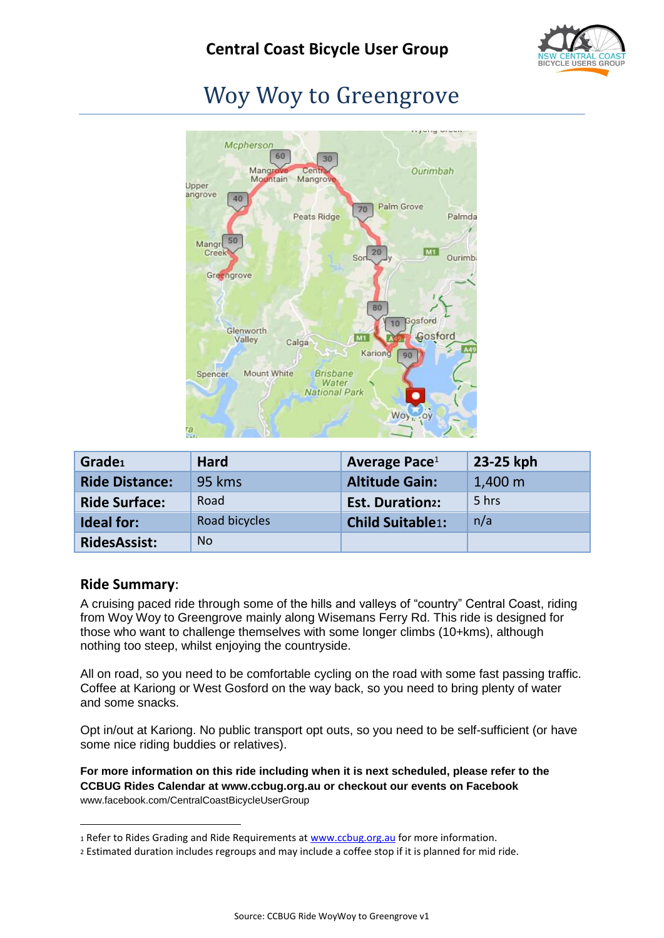

# Woy Woy to Greengrove



<span id="page-0-0"></span>

| Grade1                | Hard          | Average Pace <sup>1</sup> | 23-25 kph         |
|-----------------------|---------------|---------------------------|-------------------|
| <b>Ride Distance:</b> | 95 kms        | <b>Altitude Gain:</b>     | $1,400 \;{\rm m}$ |
| <b>Ride Surface:</b>  | Road          | <b>Est. Duration2:</b>    | 5 hrs             |
| <b>Ideal for:</b>     | Road bicycles | <b>Child Suitable1:</b>   | n/a               |
| <b>RidesAssist:</b>   | <b>No</b>     |                           |                   |

#### **Ride Summary**:

1

A cruising paced ride through some of the hills and valleys of "country" Central Coast, riding from Woy Woy to Greengrove mainly along Wisemans Ferry Rd. This ride is designed for those who want to challenge themselves with some longer climbs (10+kms), although nothing too steep, whilst enjoying the countryside.

All on road, so you need to be comfortable cycling on the road with some fast passing traffic. Coffee at Kariong or West Gosford on the way back, so you need to bring plenty of water and some snacks.

Opt in/out at Kariong. No public transport opt outs, so you need to be self-sufficient (or have some nice riding buddies or relatives).

**For more information on this ride including when it is next scheduled, please refer to the CCBUG Rides Calendar at www.ccbug.org.au or checkout our events on Facebook** [www.facebook.com/CentralCoastBicycleUserGroup](http://www.facebook.com/CentralCoastBicycleUserGroup)

<sup>1</sup> Refer to Rides Grading and Ride Requirements a[t www.ccbug.org.au](http://www.ccbug.org.au/) for more information.

<sup>2</sup> Estimated duration includes regroups and may include a coffee stop if it is planned for mid ride.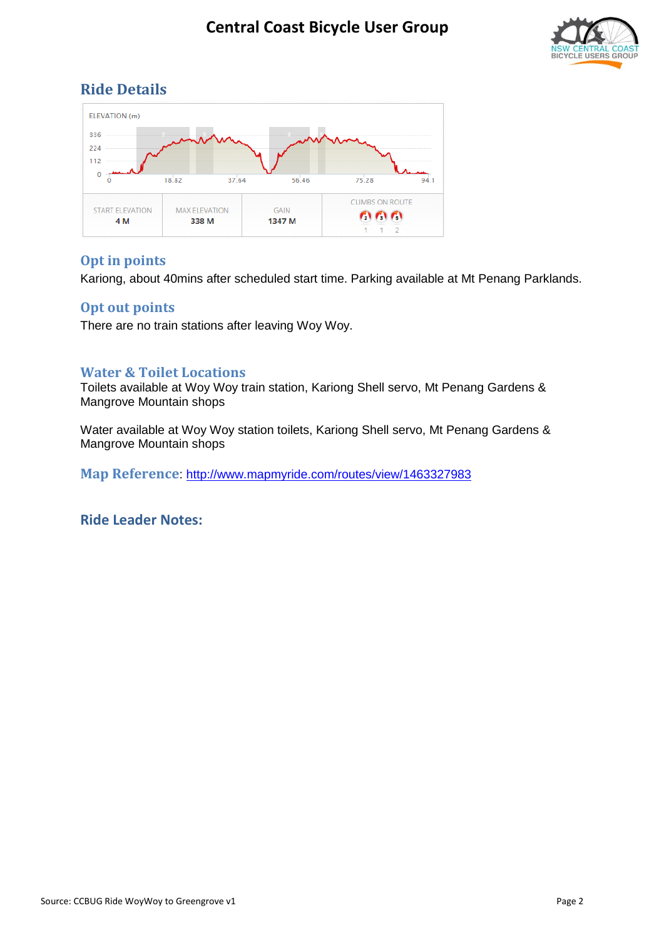

#### **Ride Details**



#### **Opt in points**

Kariong, about 40mins after scheduled start time. Parking available at Mt Penang Parklands.

#### **Opt out points**

There are no train stations after leaving Woy Woy.

#### **Water & Toilet Locations**

Toilets available at Woy Woy train station, Kariong Shell servo, Mt Penang Gardens & Mangrove Mountain shops

Water available at Woy Woy station toilets, Kariong Shell servo, Mt Penang Gardens & Mangrove Mountain shops

**Map Reference**:<http://www.mapmyride.com/routes/view/1463327983>

**Ride Leader Notes:**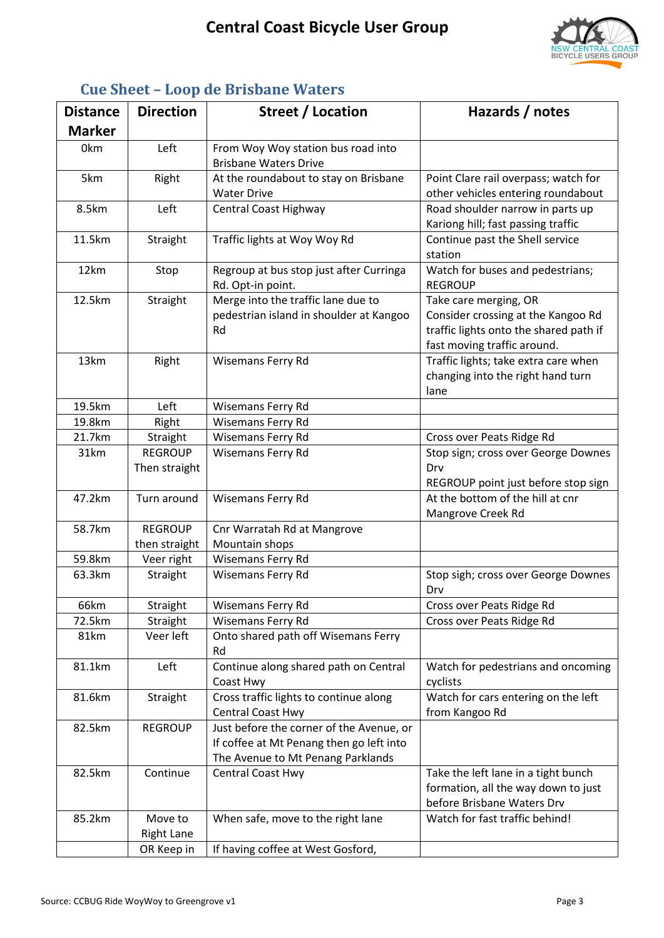

| <b>Distance</b> | <b>Direction</b>                | Street / Location                                                                                                         | Hazards / notes                                                                                                                      |
|-----------------|---------------------------------|---------------------------------------------------------------------------------------------------------------------------|--------------------------------------------------------------------------------------------------------------------------------------|
| <b>Marker</b>   |                                 |                                                                                                                           |                                                                                                                                      |
| 0 <sub>km</sub> | Left                            | From Woy Woy station bus road into<br><b>Brisbane Waters Drive</b>                                                        |                                                                                                                                      |
| 5km             | Right                           | At the roundabout to stay on Brisbane<br><b>Water Drive</b>                                                               | Point Clare rail overpass; watch for<br>other vehicles entering roundabout                                                           |
| 8.5km           | Left                            | Central Coast Highway                                                                                                     | Road shoulder narrow in parts up<br>Kariong hill; fast passing traffic                                                               |
| 11.5km          | Straight                        | Traffic lights at Woy Woy Rd                                                                                              | Continue past the Shell service<br>station                                                                                           |
| 12km            | Stop                            | Regroup at bus stop just after Curringa<br>Rd. Opt-in point.                                                              | Watch for buses and pedestrians;<br><b>REGROUP</b>                                                                                   |
| 12.5km          | Straight                        | Merge into the traffic lane due to<br>pedestrian island in shoulder at Kangoo<br>Rd                                       | Take care merging, OR<br>Consider crossing at the Kangoo Rd<br>traffic lights onto the shared path if<br>fast moving traffic around. |
| 13km            | Right                           | Wisemans Ferry Rd                                                                                                         | Traffic lights; take extra care when<br>changing into the right hand turn<br>lane                                                    |
| 19.5km          | Left                            | Wisemans Ferry Rd                                                                                                         |                                                                                                                                      |
| 19.8km          | Right                           | Wisemans Ferry Rd                                                                                                         |                                                                                                                                      |
| 21.7km          | Straight                        | <b>Wisemans Ferry Rd</b>                                                                                                  | Cross over Peats Ridge Rd                                                                                                            |
| 31km            | <b>REGROUP</b><br>Then straight | <b>Wisemans Ferry Rd</b>                                                                                                  | Stop sign; cross over George Downes<br>Drv<br>REGROUP point just before stop sign                                                    |
| 47.2km          | Turn around                     | Wisemans Ferry Rd                                                                                                         | At the bottom of the hill at cnr<br>Mangrove Creek Rd                                                                                |
| 58.7km          | <b>REGROUP</b>                  | Cnr Warratah Rd at Mangrove                                                                                               |                                                                                                                                      |
|                 | then straight                   | Mountain shops                                                                                                            |                                                                                                                                      |
| 59.8km          | Veer right                      | <b>Wisemans Ferry Rd</b>                                                                                                  |                                                                                                                                      |
| 63.3km          | Straight                        | Wisemans Ferry Rd                                                                                                         | Stop sigh; cross over George Downes<br>Drv                                                                                           |
| 66km            | Straight                        | Wisemans Ferry Rd                                                                                                         | Cross over Peats Ridge Rd                                                                                                            |
| 72.5km          | Straight                        | Wisemans Ferry Rd                                                                                                         | Cross over Peats Ridge Rd                                                                                                            |
| 81km            | Veer left                       | Onto shared path off Wisemans Ferry<br>Rd                                                                                 |                                                                                                                                      |
| 81.1km          | Left                            | Continue along shared path on Central<br>Coast Hwy                                                                        | Watch for pedestrians and oncoming<br>cyclists                                                                                       |
| 81.6km          | Straight                        | Cross traffic lights to continue along<br><b>Central Coast Hwy</b>                                                        | Watch for cars entering on the left<br>from Kangoo Rd                                                                                |
| 82.5km          | <b>REGROUP</b>                  | Just before the corner of the Avenue, or<br>If coffee at Mt Penang then go left into<br>The Avenue to Mt Penang Parklands |                                                                                                                                      |
| 82.5km          | Continue                        | <b>Central Coast Hwy</b>                                                                                                  | Take the left lane in a tight bunch<br>formation, all the way down to just<br>before Brisbane Waters Drv                             |
| 85.2km          | Move to<br><b>Right Lane</b>    | When safe, move to the right lane                                                                                         | Watch for fast traffic behind!                                                                                                       |
|                 | OR Keep in                      | If having coffee at West Gosford,                                                                                         |                                                                                                                                      |

### **Cue Sheet – Loop de Brisbane Waters**